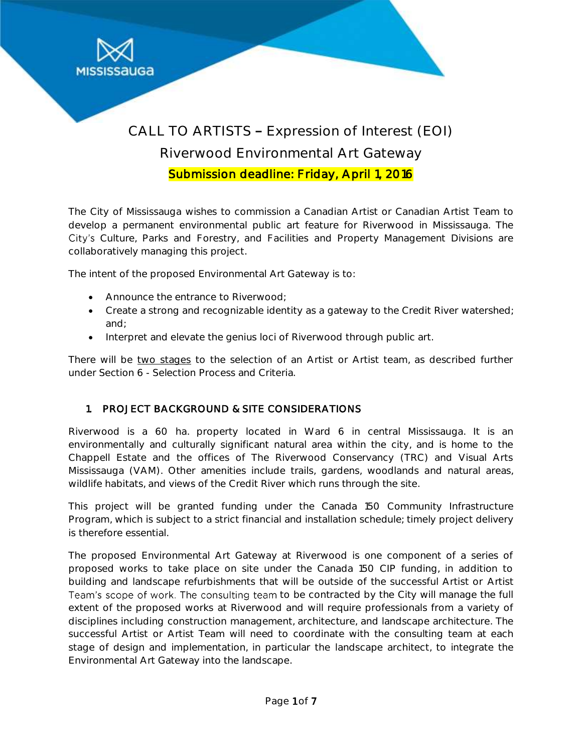

# CALL TO ARTISTS - Expression of Interest (EOI) Riverwood Environmental Art Gateway Submission deadline: Friday, April 1, 2016

The City of Mississauga wishes to commission a Canadian Artist or Canadian Artist Team to develop a permanent environmental public art feature for Riverwood in Mississauga. The City's Culture, Parks and Forestry, and Facilities and Property Management Divisions are collaboratively managing this project.

The intent of the proposed Environmental Art Gateway is to:

- Announce the entrance to Riverwood;
- Create a strong and recognizable identity as a gateway to the Credit River watershed; and;
- Interpret and elevate the genius loci of Riverwood through public art.

There will be two stages to the selection of an Artist or Artist team, as described further under *Section 6 - Selection Process and Criteria.*

### 1. PROJECT BACKGROUND & SITE CONSIDERATIONS

Riverwood is a 60 ha. property located in Ward 6 in central Mississauga. It is an environmentally and culturally significant natural area within the city, and is home to the Chappell Estate and the offices of The Riverwood Conservancy (TRC) and Visual Arts Mississauga (VAM). Other amenities include trails, gardens, woodlands and natural areas, wildlife habitats, and views of the Credit River which runs through the site.

This project will be granted funding under the Canada 150 Community Infrastructure Program, which is subject to a strict financial and installation schedule; timely project delivery is therefore essential.

The proposed Environmental Art Gateway at Riverwood is one component of a series of proposed works to take place on site under the Canada 150 CIP funding, in addition to building and landscape refurbishments that will be outside of the successful Artist or Artist Team's scope of work. The consulting team to be contracted by the City will manage the full extent of the proposed works at Riverwood and will require professionals from a variety of disciplines including construction management, architecture, and landscape architecture. The successful Artist or Artist Team will need to coordinate with the consulting team at each stage of design and implementation, in particular the landscape architect, to integrate the Environmental Art Gateway into the landscape.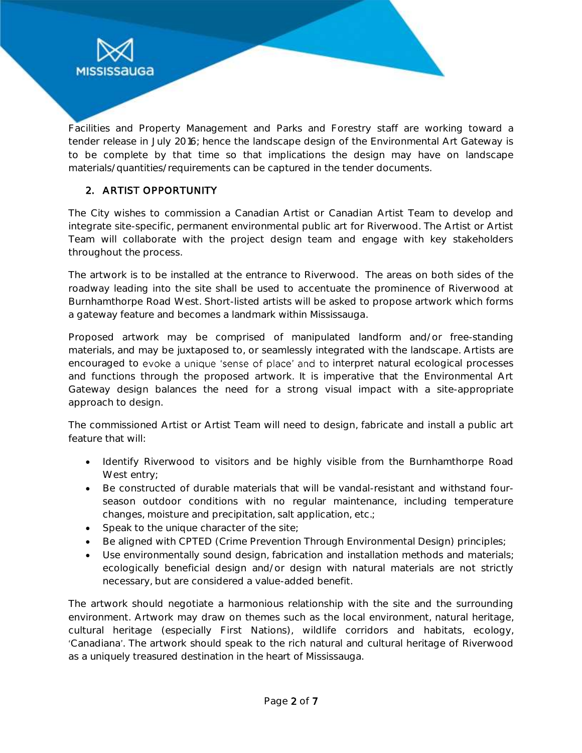

Facilities and Property Management and Parks and Forestry staff are working toward a tender release in July 2016; hence the landscape design of the Environmental Art Gateway is to be complete by that time so that implications the design may have on landscape materials/quantities/requirements can be captured in the tender documents.

## 2. ARTIST OPPORTUNITY

The City wishes to commission a Canadian Artist or Canadian Artist Team to develop and integrate site-specific, permanent environmental public art for Riverwood. The Artist or Artist Team will collaborate with the project design team and engage with key stakeholders throughout the process.

The artwork is to be installed at the entrance to Riverwood. The areas on both sides of the roadway leading into the site shall be used to accentuate the prominence of Riverwood at Burnhamthorpe Road West. Short-listed artists will be asked to propose artwork which forms a gateway feature and becomes a landmark within Mississauga.

Proposed artwork may be comprised of manipulated landform and/or free-standing materials, and may be juxtaposed to, or seamlessly integrated with the landscape. Artists are encouraged to evoke a unique 'sense of place' and to interpret natural ecological processes and functions through the proposed artwork. It is imperative that the Environmental Art Gateway design balances the need for a strong visual impact with a site-appropriate approach to design.

The commissioned Artist or Artist Team will need to design, fabricate and install a public art feature that will:

- Identify Riverwood to visitors and be highly visible from the Burnhamthorpe Road West entry;
- Be constructed of durable materials that will be vandal-resistant and withstand fourseason outdoor conditions with no regular maintenance, including temperature changes, moisture and precipitation, salt application, etc.;
- Speak to the unique character of the site;
- Be aligned with CPTED (Crime Prevention Through Environmental Design) principles;
- Use environmentally sound design, fabrication and installation methods and materials; ecologically beneficial design and/or design with natural materials are not strictly necessary, but are considered a value-added benefit.

The artwork should negotiate a harmonious relationship with the site and the surrounding environment. Artwork may draw on themes such as the local environment, natural heritage, cultural heritage (especially First Nations), wildlife corridors and habitats, ecology, 'Canadiana'. The artwork should speak to the rich natural and cultural heritage of Riverwood as a uniquely treasured destination in the heart of Mississauga.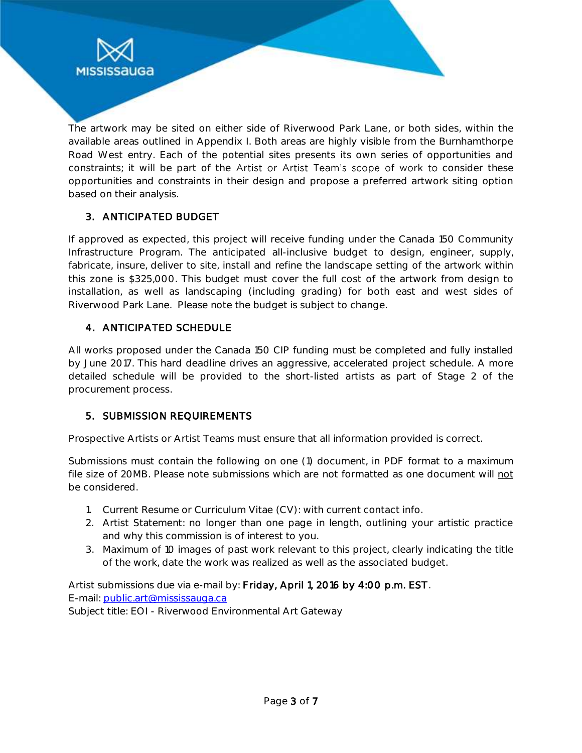

The artwork may be sited on either side of Riverwood Park Lane, or both sides, within the available areas outlined in *Appendix I*. Both areas are highly visible from the Burnhamthorpe Road West entry. Each of the potential sites presents its own series of opportunities and constraints; it will be part of the Artist or Artist Team's scope of work to consider these opportunities and constraints in their design and propose a preferred artwork siting option based on their analysis.

## 3. ANTICIPATED BUDGET

If approved as expected, this project will receive funding under the Canada 150 Community Infrastructure Program. The anticipated all-inclusive budget to design, engineer, supply, fabricate, insure, deliver to site, install and refine the landscape setting of the artwork within this zone is \$325,000. This budget must cover the full cost of the artwork from design to installation, as well as landscaping (including grading) for both east and west sides of Riverwood Park Lane. Please note the budget is subject to change.

### 4. ANTICIPATED SCHEDULE

All works proposed under the Canada 150 CIP funding must be completed and fully installed by June 2017. This hard deadline drives an aggressive, accelerated project schedule. A more detailed schedule will be provided to the short-listed artists as part of Stage 2 of the procurement process.

### 5. SUBMISSION REQUIREMENTS

Prospective Artists or Artist Teams must ensure that all information provided is correct.

Submissions must contain the following on one (1) document, in PDF format to a maximum file size of 20MB. Please note submissions which are not formatted as one document will not be considered.

- 1. *Current Resume or Curriculum Vitae (CV)*: with current contact info.
- 2. *Artist Statement*: no longer than one page in length, outlining your artistic practice and why this commission is of interest to you.
- 3. *Maximum of 10 images of past work* relevant to this project, clearly indicating the title of the work, date the work was realized as well as the associated budget.

*Artist submissions due via e-mail by:* Friday, April 1, 2016 by 4:00 p.m. EST. E-mail: [public.art@mississauga.ca](mailto:public.art@mississauga.ca) Subject title: EOI - Riverwood Environmental Art Gateway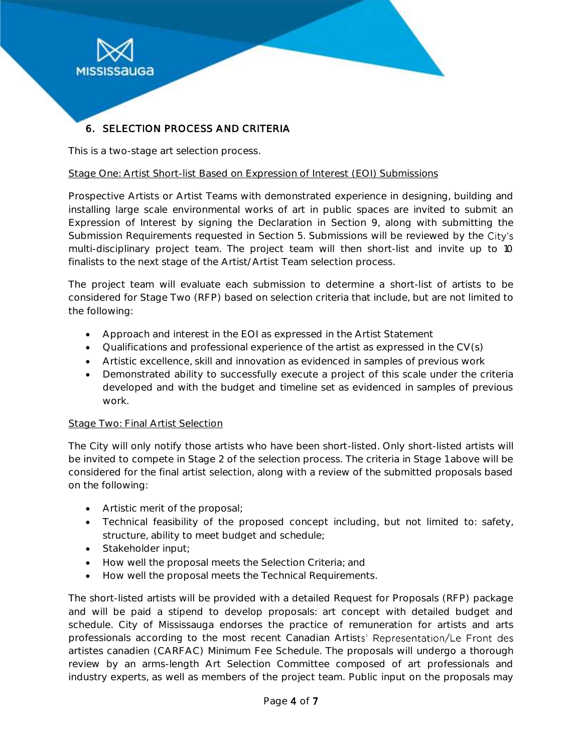

# 6. SELECTION PROCESS AND CRITERIA

This is a two-stage art selection process.

### Stage One: Artist Short-list Based on Expression of Interest (EOI) Submissions

Prospective Artists or Artist Teams with demonstrated experience in designing, building and installing large scale environmental works of art in public spaces are invited to submit an Expression of Interest by signing the Declaration in *Section 9,* along with submitting the Submission Requirements requested in *Section 5*. Submissions will be reviewed by the City's multi-disciplinary project team. The project team will then short-list and invite up to 10 finalists to the next stage of the Artist/Artist Team selection process.

The project team will evaluate each submission to determine a short-list of artists to be considered for Stage Two (RFP) based on selection criteria that include, but are not limited to the following:

- Approach and interest in the EOI as expressed in the Artist Statement
- Qualifications and professional experience of the artist as expressed in the CV(s)
- Artistic excellence, skill and innovation as evidenced in samples of previous work
- Demonstrated ability to successfully execute a project of this scale under the criteria developed and with the budget and timeline set as evidenced in samples of previous work.

### Stage Two: Final Artist Selection

The City will only notify those artists who have been short-listed. Only short-listed artists will be invited to compete in Stage 2 of the selection process. The criteria in Stage 1 above will be considered for the final artist selection, along with a review of the submitted proposals based on the following:

- Artistic merit of the proposal;
- Technical feasibility of the proposed concept including, but not limited to: safety, structure, ability to meet budget and schedule;
- Stakeholder input;
- How well the proposal meets the Selection Criteria; and
- How well the proposal meets the Technical Requirements.

The short-listed artists will be provided with a detailed Request for Proposals (RFP) package and will be paid a stipend to develop proposals: art concept with detailed budget and schedule. City of Mississauga endorses the practice of remuneration for artists and arts professionals according to the most recent Canadian Artists' Representation/Le Front des artistes canadien (CARFAC) Minimum Fee Schedule. The proposals will undergo a thorough review by an arms-length Art Selection Committee composed of art professionals and industry experts, as well as members of the project team. Public input on the proposals may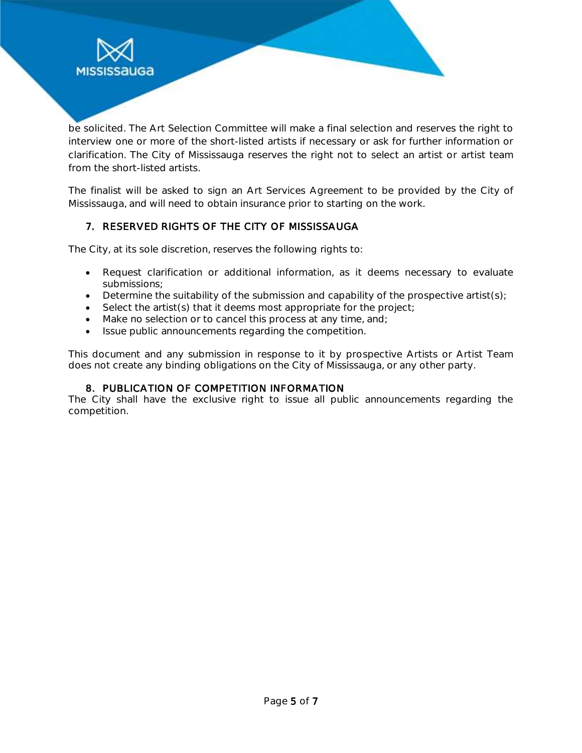

The finalist will be asked to sign an Art Services Agreement to be provided by the City of Mississauga, and will need to obtain insurance prior to starting on the work.

### 7. RESERVED RIGHTS OF THE CITY OF MISSISSAUGA

The City, at its sole discretion, reserves the following rights to:

**MISSISSAUGA** 

- Request clarification or additional information, as it deems necessary to evaluate submissions;
- $\bullet$  Determine the suitability of the submission and capability of the prospective artist(s);
- $\bullet$  Select the artist(s) that it deems most appropriate for the project;
- Make no selection or to cancel this process at any time, and;
- Issue public announcements regarding the competition.

This document and any submission in response to it by prospective Artists or Artist Team does not create any binding obligations on the City of Mississauga, or any other party.

### 8. PUBLICATION OF COMPETITION INFORMATION

The City shall have the exclusive right to issue all public announcements regarding the competition.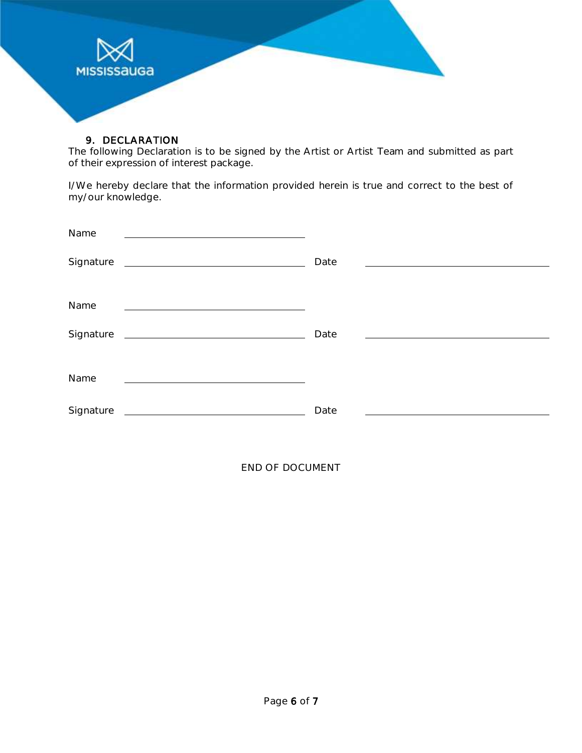

#### 9. DECLARATION

The following Declaration is to be signed by the Artist or Artist Team and submitted as part of their expression of interest package.

I/We hereby declare that the information provided herein is true and correct to the best of my/our knowledge.

| Name                                                                                                                                                                                                                                              |      |
|---------------------------------------------------------------------------------------------------------------------------------------------------------------------------------------------------------------------------------------------------|------|
| Signature<br><u> 1989 - Johann Harry Harry Harry Harry Harry Harry Harry Harry Harry Harry Harry Harry Harry Harry Harry Harry Harry Harry Harry Harry Harry Harry Harry Harry Harry Harry Harry Harry Harry Harry Harry Harry Harry Harry Ha</u> | Date |
| Name                                                                                                                                                                                                                                              |      |
| Signature                                                                                                                                                                                                                                         | Date |
| Name                                                                                                                                                                                                                                              |      |
| Signature<br><u> 1990 - Johann Barbara, martin a</u>                                                                                                                                                                                              | Date |

END OF DOCUMENT